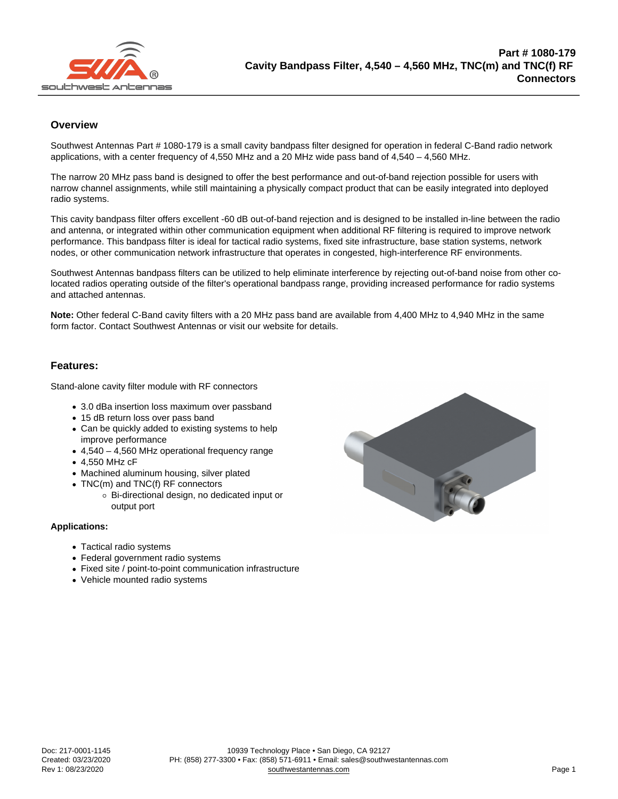## **Overview**

Southwest Antennas Part # 1080-179 is a small cavity bandpass filter designed for operation in federal C-Band radio network applications, with a center frequency of 4,550 MHz and a 20 MHz wide pass band of 4,540 – 4,560 MHz.

The narrow 20 MHz pass band is designed to offer the best performance and out-of-band rejection possible for users with narrow channel assignments, while still maintaining a physically compact product that can be easily integrated into deployed radio systems.

This cavity bandpass filter offers excellent -60 dB out-of-band rejection and is designed to be installed in-line between the radio and antenna, or integrated within other communication equipment when additional RF filtering is required to improve network performance. This bandpass filter is ideal for tactical radio systems, fixed site infrastructure, base station systems, network nodes, or other communication network infrastructure that operates in congested, high-interference RF environments.

Southwest Antennas bandpass filters can be utilized to help eliminate interference by rejecting out-of-band noise from other colocated radios operating outside of the filter's operational bandpass range, providing increased performance for radio systems and attached antennas.

Note: Other federal C-Band cavity filters with a 20 MHz pass band are available from 4,400 MHz to 4,940 MHz in the same form factor. Contact Southwest Antennas or visit our website for details.

## Features:

Stand-alone cavity filter module with RF connectors

- 3.0 dBa insertion loss maximum over passband
- 15 dB return loss over pass band
- Can be quickly added to existing systems to help improve performance
- 4,540 4,560 MHz operational frequency range
- 4,550 MHz cF
- Machined aluminum housing, silver plated
- TNC(m) and TNC(f) RF connectors
	- Bi-directional design, no dedicated input or output port

Applications:

- Tactical radio systems
- Federal government radio systems
- Fixed site / point-to-point communication infrastructure
- Vehicle mounted radio systems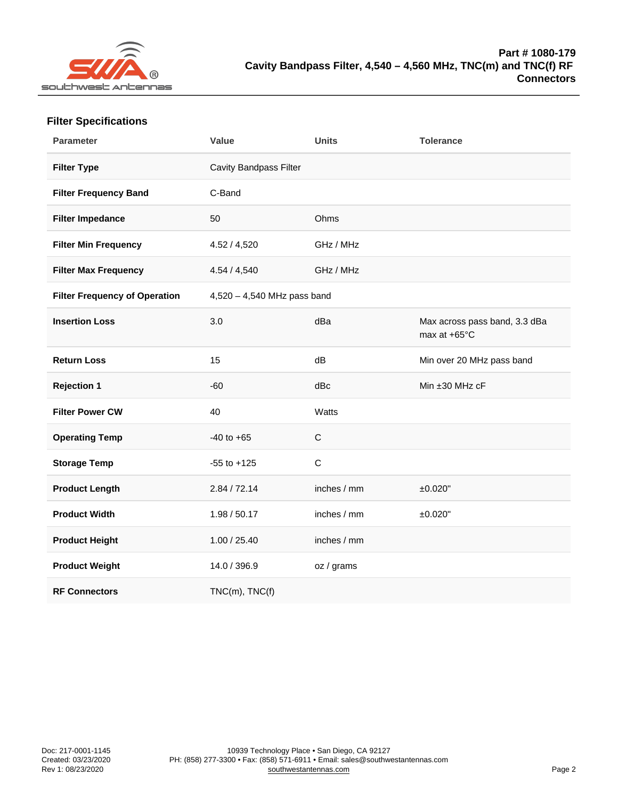| <b>Filter Specifications</b> |
|------------------------------|
|------------------------------|

| Parameter                     | Value                         | Units        | Tolerance                                     |
|-------------------------------|-------------------------------|--------------|-----------------------------------------------|
| Filter Type                   | Cavity Bandpass Filter        |              |                                               |
| Filter Frequency Band         | C-Band                        |              |                                               |
| Filter Impedance              | 50                            | Ohms         |                                               |
| Filter Min Frequency          | 4.52 / 4,520                  | GHz / MHz    |                                               |
| Filter Max Frequency          | 4.54 / 4,540                  | GHz / MHz    |                                               |
| Filter Frequency of Operation | $4,520 - 4,540$ MHz pass band |              |                                               |
| <b>Insertion Loss</b>         | 3.0                           | dBa          | Max across pass band, 3.3 dBa<br>max at +65°C |
| <b>Return Loss</b>            | 15                            | dB           | Min over 20 MHz pass band                     |
| Rejection 1                   | $-60$                         | dBc          | Min ±30 MHz cF                                |
| Filter Power CW               | 40                            | Watts        |                                               |
| <b>Operating Temp</b>         | $-40$ to $+65$                | $\mathsf C$  |                                               |
| Storage Temp                  | $-55$ to $+125$               | $\mathsf{C}$ |                                               |
| Product Length                | 2.84 / 72.14                  | inches / mm  | ±0.020"                                       |
| Product Width                 | 1.98 / 50.17                  | inches / mm  | ±0.020"                                       |
| Product Height                | 1.00 / 25.40                  | inches / mm  |                                               |
| Product Weight                | 14.0 / 396.9                  | oz / grams   |                                               |
| <b>RF Connectors</b>          | $TNC(m)$ , $TNC(f)$           |              |                                               |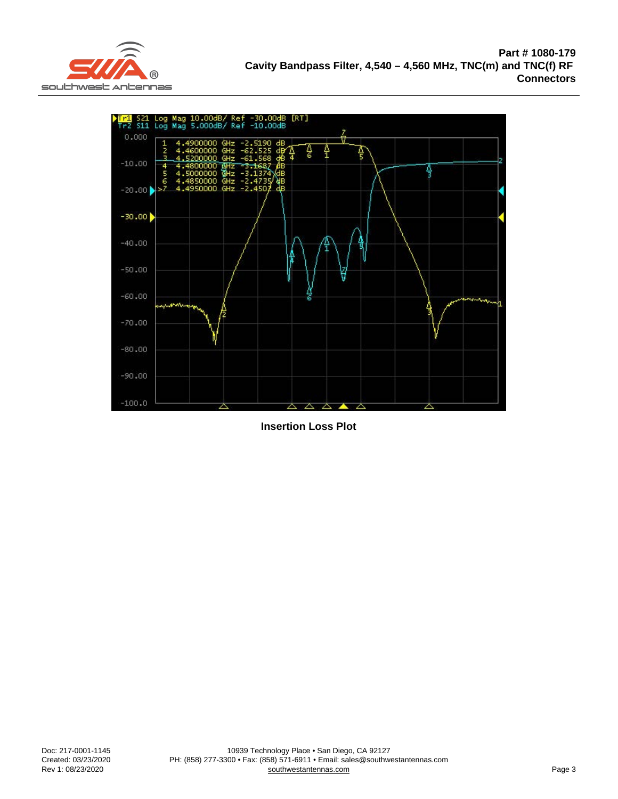Insertion Loss Plot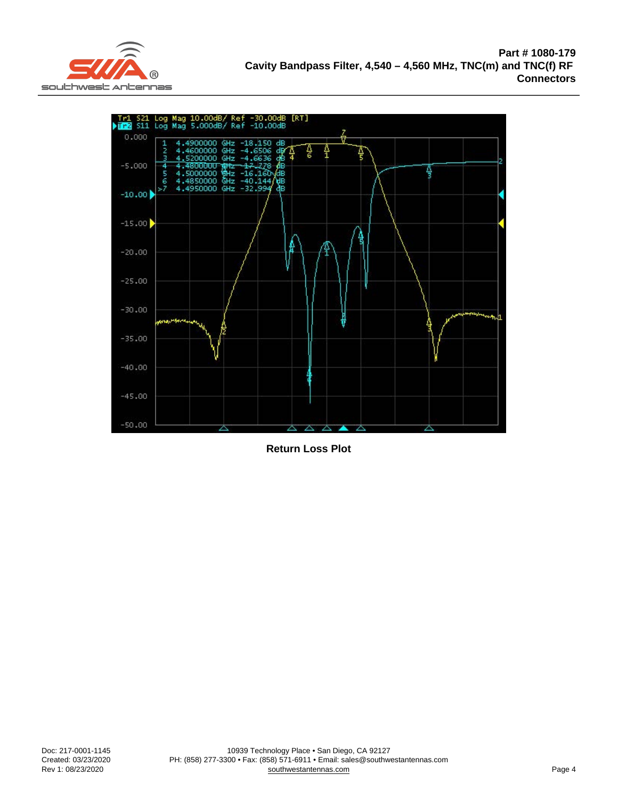Return Loss Plot